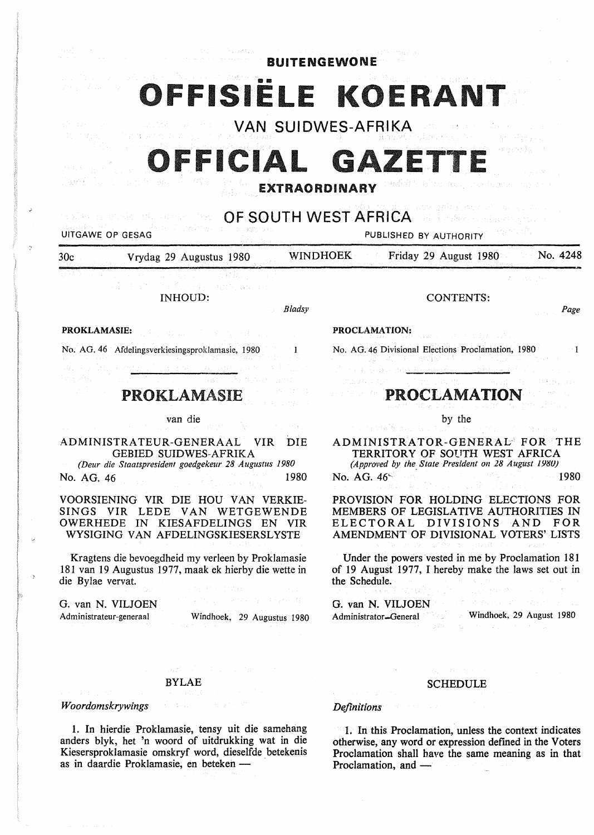| <b>BUITENGEWONE</b> |  |  |  |  |  |  |  |
|---------------------|--|--|--|--|--|--|--|
|---------------------|--|--|--|--|--|--|--|

# **1SIËLE KOERANT**

**VAN SUIDWES-AFRIKA** 

# FFICIAL GA

## **EXTRAORDINARY**

**OF SOUTH** WEST AFRICA

,.;

UITGAWE OP GESAG PUBLISHED BY AUTHORITY

30c Vrydag 29 Augustus 1980 WINDHOEK Friday 29 August 1980

INHOUD:

#### *Bladsy*

**PROKLAMASIE:** 

No. AG. 46 Afdelingsverkiesingsproklamasie, 1980

# PROKLAMASIE

#### van die

ADMINISTRATEUR-GENERAAL VIR DIE GEBIED SUIDWES-AFRIKA *(Deur die Staatspresident goedgekeur 28 Augustus 1980* 

No. AG. 46 1980

VOORSIENING VIR DIE HOU VAN VERKIE-SINGS VIR LEDE VAN WETGEWENDE OWERHEDE IN KIESAFDELINGS EN VIR WYSIGING VAN AFDELINGSKIESERSLYSTE

Kragtens die bevoegdheid my verleen by Proklamasie 181 van 19 Augustus 1977, maak ek hierby die wette in die Bylae vervat.

G. van N. VILJOEN Administrateur-generaal

Windhoek, 29 Augustus 1980

CONTENTS:

#### *Page*

#### **PROCLAMATION:**

No. AG. 46 Divisional Elections Proclamation, 1980

# PROCLAMATION

by the

ADMINISTRATOR-GENERAL- FOR THE TERRITORY OF SOUTH WEST AFRICA *(Approved by the\_ State President on 28 August 198UJ*  No. AG.  $46^{\circ}$  1980

### PROVISION FOR HOLDING ELECTIONS FOR MEMBERS OF LEGISLATIVE AUTHORITIES IN ELECTORAL DIVISIONS AND FOR AMENDMENT OF DIVISIONAL VOTERS' LISTS

Under the powers vested in me by Proclamation 181 of 19 August 1977, I hereby make the laws set out in the Schedule.

G. van N. VILJOEN

Administrator-General Windhoek, 29 August 1980

#### BYLAE

*Woordomskrywings* 

1. In hierdie Proklamasie, tensy uit die samehang anders blyk, het 'n woord of uitdrukking wat in die Kiesersproklamasie omskryf word, dieselfde betekenis as in daardie Proklamasie, en beteken -

## SCHEDULE

#### *Definitions*

1. In this Proclamation, unless the context indicates otherwise, any word or expression defmed in the Voters Proclamation shall have the same meaning as in that Proclamation, and  $-$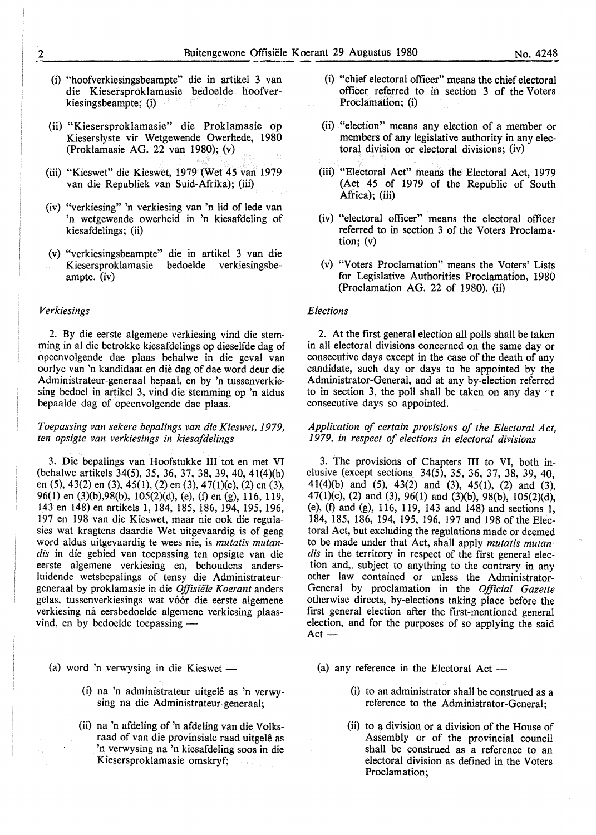- (i) "hoofverkiesingsbeampte" die in artikel 3 van die Kiesersproklamasie bedoelde hoofverkiesingsbeampte; (i)
- (ii) "Kiesersproklamasie" die Proklamasie op Kieserslyste vir Wetgewende Owerhede, 1980 (Proklamasie AG. 22 van 1980); (v)
- (iii) "Kieswet" die Kieswet, 1979 (Wet 45 van 1979 van die Republiek van Suid-Afrika); (iii)
- (iv) "verkiesing" 'n verkiesing van 'n lid of lede van 'n wetgewende owerheid in 'n kiesafdeling of kiesafdelings; (ii)
- (v) "verkiesingsbeampte" die in artikel 3 van die bedoelde verkiesingsbeampte. (iv)

#### *Verkiesings*

2. By die eerste algemene verkiesing vind die stemming in al die betrokke kiesafdelings op dieselfde dag of opeenvolgende dae plaas behalwe in die geval van oorlye van 'n kandidaat en die dag of dae word deur die Administrateur-generaal bepaal, en by 'n tussenverkiesing bedoel in artikel 3, vind die stemming op 'n aldus bepaalde dag of opeenvolgende dae plaas.

#### *Toepassing van sekere bepa/ings van die Kieswet, 1979, ten opsigte van verkiesings in kiesaf delings*

3. Die bepalings van Hoofstukke III tot en met VI (behalwe artikels 34(5), 35, 36, 37, 38, 39, 40, 41(4)(b) en (5), 43(2) en (3), 45( 1), (2) en (3), 4 7(1)(c ), (2) en (3), 96(1) en (3)(b),98(b), 105(2)(d), (e), (f) en (g), 116, 119, 143 en 148) en artikels 1, 184, 185, 186, 194, 195, 196, 197 en 198 van die Kieswet, maar nie ook die regulasies wat kragtens daardie Wet uitgevaardig is of geag word aldus uitgevaardig te wees nie, is *mutatis mutandis* in die gebied van toepassing ten opsigte van die eerste algemene verkiesing en, behoudens andersluidende wetsbepalings of tensy die Administrateurgeneraal by proklamasie in die Offisiële Koerant anders gelas, tussenverkiesings wat vóór die eerste algemene verkiesing ná eersbedoelde algemene verkiesing plaasvind, en by bedoelde toepassing -

- (a) word 'n verwysing in die Kieswet  $-$ 
	- (i) na 'n administrateur uitgelê as 'n verwysing na die Administrateur-generaal;
	- (ii) na 'n afdeling of 'n afdeling van die Volksraad of van die provinsiale raad uitgele as 'n verwysing na 'n kiesafdeling soos in die Kiesersproklamasie omskryf;
- (i) "chief electoral officer" means the chief electoral officer referred to in section 3 of the Voters Proclamation; (i)
- (ii) "election" means any election of a member or members of any legislative authority in any electoral division or electoral divisions; (iv)
- (iii) "Electoral Act" means the Electoral Act, 1979 (Act 45 of 1979 of the Republic of South Africa); (iii)
- (iv) "electoral officer" means the electoral officer referred to in section 3 of the Voters Proclamation; (v)
- (v) "Voters Proclamation" means the Voters' Lists for Legislative Authorities Proclamation, 1980 (Proclamation AG. 22 of 1980). (ii)

#### *Elections*

2. At the first general election all polls shall be taken in all electoral divisions concerned on the same day or consecutive days except in the case of the death of any candidate, such day or days to be appointed by the Administrator-General, and at any by-election referred to in section 3, the poll shall be taken on any day  $\tau$ consecutive days so appointed.

#### *Application of certain provisions of the Electoral Act, 1979. in respect of elections in electoral divisions*

3. The provisions of Chapters III to VI, both inclusive (except sections\_ 34(5), 35, 36, 37, 38, 39, 40, 41(4)(b) and (5), 43(2) and (3), 45(1), (2) and (3), 47(1)(c), (2) and (3), 96(1) and (3)(b), 98(b), 105(2)(d), (e), (f) and (g), 116, 119, 143 and 148) and sections 1, 184, 185, 186, 194, 195, 196, 197 and 198 of the Electoral Act, but excluding the regulations made or deemed to be made under that Act, shall apply *mutatis mutan*dis in the territory in respect of the first general election and,, subject to anything to the contrary in any other law contained or unless the Administrator-General by proclamation in the *Official Gazette*  otherwise directs, by-elections taking place before the first general election after the first-mentioned general election, and for the purposes of so applying the said  $Act-$ 

- (a) any reference in the Electoral Act  $-$ 
	- (i) to an administrator shall be construed as a reference to the Administrator-General;
	- (ii) to a division or a division of the House of Assembly or of the provincial council shall be construed as a reference to an electoral division as defined in the Voters Proclamation;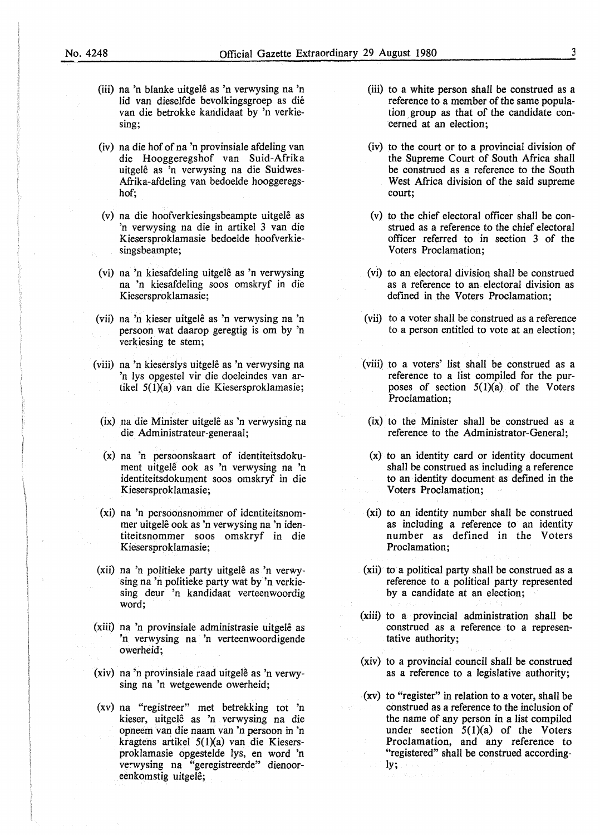- (iii) na 'n blanke uitgelê as 'n verwysing na 'n lid van dieselfde bevolkingsgroep as dié van die betrokke kandidaat by 'n verkiesing;
- (iv) na die hof of na 'n provinsiale afdeling van die Hooggeregshof van Suid-Afrika uitgelê as 'n verwysing na die Suidwes-Afrika-afdeling van bedoelde hooggeregshof;
- (v) na die hoofverkiesingsbeampte uitgele as 'n verwysing na die in artikel 3 van die Kiesersproklamasie bedoelde hoofverkiesingsbeampte;
- (vi) na 'n kiesafdeling uitgelê as 'n verwysing na 'n kiesafdeling soos omskryf in die Kiesersproklamasie;
- (vii) na 'n kieser uitgele as 'n verwysing na 'n persoon wat daarop geregtig is om by 'n verkiesing te stem;
- (viii) na 'n kieserslys uitgelê as 'n verwysing na 'n lys opgestel vir die doeleindes van artikel 5{l)(a) van die Kiesersproklamasie;
	- (ix) na die Minister uitgelê as 'n verwysing na die Administrateur-generaal;
	- (x) na 'n persoonskaart of identiteitsdokument uitgelê ook as 'n verwysing na 'n identiteitsdokument soos omskryf in die Kiesersproklamasie;
	- **(xi)** na 'n persoonsnommer of identiteitsnommer uitgele ook as 'n verwysing na 'n identiteitsnommer soos omskryf in die Kiesersproklamasie;
- (xii) na 'n politieke party uitgele as 'n verwysing na 'n politieke party wat by 'n verkiesing deur 'n kandidaat verteenwoordig word;
- (xiii) na 'n provinsiale administrasie uitgele as 'n verwysing na 'n verteenwoordigende owerheid;
- (xiv) na 'n provinsiale raad uitgelê as 'n verwysing na 'n wetgewende owerheid;
- (xv) na "registreer" met betrekking tot 'n kieser, uitgele as 'n verwysing na die opneem van die naam van 'n persoon in 'n kragtens artikel  $5(1)(a)$  van die Kiesersproklamasie opgestelde lys, en word 'n verwysing na "geregistreerde" dienooreenkomstig uitgele;
- (iii) to a white person shall be construed as a reference to a member of the same population group as that of the candidate concerned at an election;
- (iv) to the court or to a provincial division of the Supreme Court of South Africa shall be construed as a reference to the South West Africa division of the said supreme court;
- (v) to the chief electoral officer shall be construed as a reference to the chief electoral officer referred to in section 3 of the Voters Proclamation;
- (vi) to an electoral division shall be construed as a reference to an electoral division as defined in the Voters Proclamation;
- (vii) to a voter shall be construed as a reference to a person entitled to vote at an election;
- (viii) to a voters' list shall be construed as a reference to a list compiled for the purposes of section  $5(1)(a)$  of the Voters Proclamation;
- (ix) to the Minister shall be construed as a reference to the Administrator-General;
- (x) to an identity card or identity document shall be construed as including a reference to an identity document as defined in the Voters Proclamation;
- (xi) to an identity number shall be construed as including a reference to an identity number as defined in the Voters Proclamation;
- **(xii)** to a political party shall be construed as a reference to a political party represented by a candidate at an election;
- **(xiii)** to a provincial administration shall be construed as a reference to a representative authority;
- **(xiv)** to a provincial council shall be construed as a reference to a legislative authority;
- (xv) to "register" in relation to a voter, shall be construed as a reference to the inclusion of the name of any person in a list compiled under section  $5(1)(a)$  of the Voters Proclamation, and any reference to "registered" shall be construed accordingly;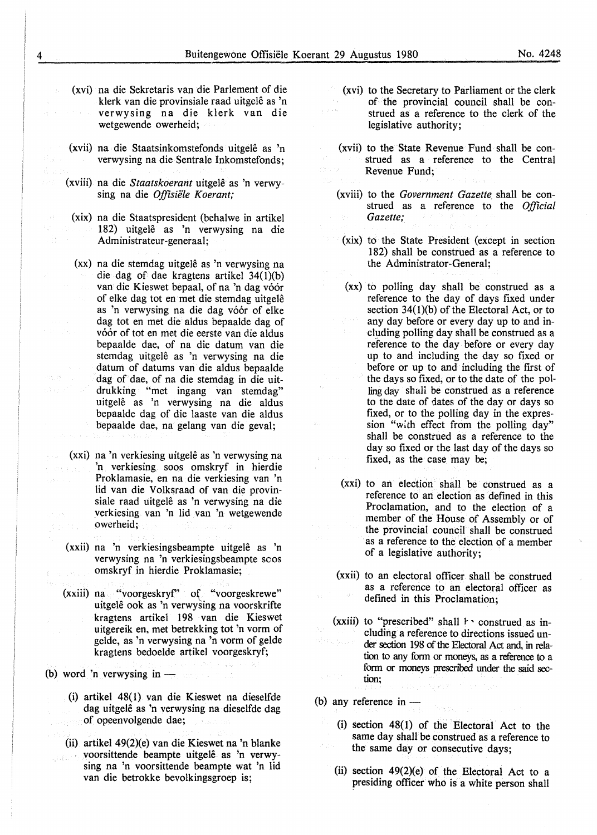- (xvi) na die Sekretaris van die Parlement of die klerk van die provinsiale raad uitgelê as 'n verwysing na die klerk van die wetgewende owerheid;
- (xvii) na die Staatsinkomstefonds uitgele as 'n verwysing na die Sentrale Inkomstefonds;
- (xviii) na die *Staatskoerant* uitgele as 'n verwysing na die *Offisiële Koerant*:
	- **(xix)** na die Staatspresident (behalwe in artikel 182) uitgele as 'n verwysing na die Administrateur-generaal;
	- **(xx)** na die stemdag uitgele as 'n verwysing na die dag of dae kragtens artikel 34(1)(b) van die Kieswet bepaal, of na 'n dag vóór of elke dag tot en met die stemdag uitgele as 'n verwysing na die dag vóór of elke dag tot en met die aldus bepaalde dag of vóór of tot en met die eerste van die aldus bepaalde dae, of na die datum van die stemdag uitgelê as 'n verwysing na die datum of datums van die aldus bepaalde dag of dae, of na die stemdag in die uitdrukking "met ingang van stemdag" uitgele as 'n verwysing na die aldus bepaalde dag of die laaste van die aldus bepaalde dae, na gelang van die geval;
- **(xxi)** na 'n verkiesing uitgele as 'n verwysing na 'n verkiesing soos omskryf in hierdie Proklamasie, en na die verkiesing van 'n lid van die Volksraad of van die provinsiale raad uitgelê as 'n verwysing na die verkiesing van 'n lid van 'n wetgewende owerheid;
- **(xxii)** na 'n verkiesingsbeampte uitgele as 'n verwysing na 'n verkiesingsbeampte soos omskryf in hierdie Proklamasie;
- **(xxiii)** na "voorgeskryf' of "voorgeskrewe" uitgele ook as 'n verwysing na voorskrifte kragtens artikel 198 van die Kieswet uitgereik en, met betrekking tot 'n vorm of gelde, as 'n verwysing na 'n vorm of gelde kragtens bedoelde artikel voorgeskryf;

(b) word 'n verwysing in  $-$ 

- (i) artikel 48(1) van die Kieswet na dieselfde dag uitgelê as 'n verwysing na dieselfde dag of opeenvolgende dae;
- (ii) artikel  $49(2)(e)$  van die Kieswet na 'n blanke voorsittende beampte uitgelê as 'n verwysing na 'n voorsittende beampte wat 'n lid van die betrokke bevolkingsgroep is;
- (xvi) to the Secretary to Parliament or the clerk of the provincial council shall be construed as a reference to the clerk of the legislative authority;
- (xvii) to the State Revenue Fund shall be construed as a reference to the Central Revenue Fund;
- (xviii) to the *Government Gazette* shall be construed as a reference to the *Official Gazette;*
- **(xix)** to the State President (except in section 182) shall be construed as a reference to the Administrator-General;
- **(xx)** to polling day shall be construed as a reference to the day of days fixed under section  $34(1)(b)$  of the Electoral Act, or to any day before or every day up to and including polling day shall be construed as a reference to the day before or every day up to and including the day so fixed or before or up to and including the first of the days so fixed, or to the date of the polling day shall be construed as a reference to the date of dates of the day or days so fixed, or to the polling day in the expression "with effect from the polling day" shall be construed as a reference to the day so fixed or the last day of the days so fixed, as the case may be;
- (xxi) to an election shall be construed as a reference to an election as defined in this Proclamation, and to the election of a member of the House of Assembly or of the provincial council shall be construed as a reference to the election of a member of a legislative authority;
- **(xxii)** to an electoral officer shall be construed as a reference to an electoral officer as defined in this Proclamation;
- $(xxiii)$  to "prescribed" shall  $\vdash$  construed as including a reference to directions issued under section 198 of the Electoral Act and, in relation to any form or moneys, as a reference to a form or moneys prescribed under the said section;

(b) any reference in  $-$ 

- (i) section 48(1) of the Electoral Act to the same day shall be construed as a reference to the same day or consecutive days;
- (ii) section  $49(2)(e)$  of the Electoral Act to a presiding officer who is a white person shall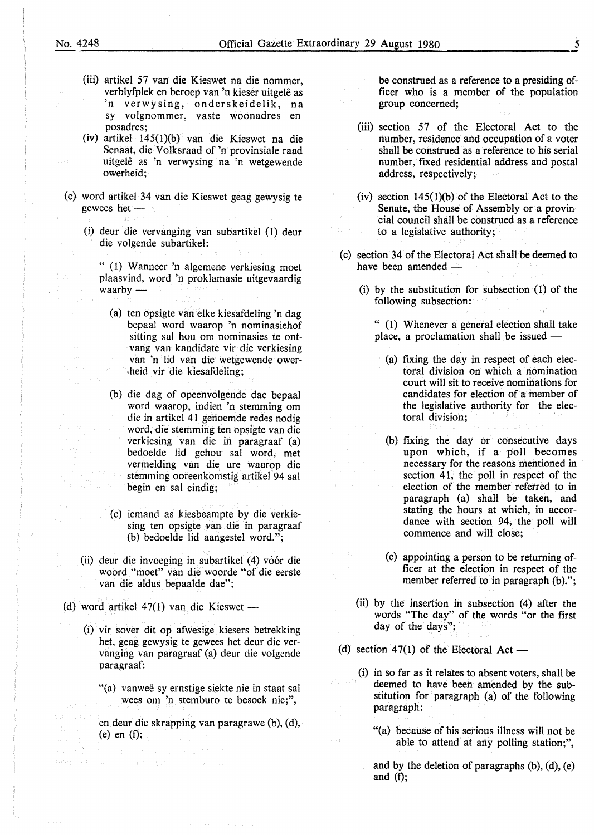na Bachi

- (iii) artikel 57 van die Kieswet na die nommer, verblyfplek en beroep van 'n kieser uitgele as 'n verwysing, onderskeidelik, na sy volgnommer, vaste woonadres en posadres;
- (iv) artikel 145(1)(b) van die Kieswet na die Senaat, die Volksraad of 'n provinsiale raad uitgelê as 'n verwysing na 'n wetgewende owerheid;
- (c) word artikel 34 van die Kieswet geag gewysig te gewees het -
	- (i) deur die vervanging van subartikel (1) deur die volgende subartikel:
		- " (1) Wanneer 'n algemene verkiesing moet plaasvind, word 'n proklamasie uitgevaardig waarby  $-$ 
			- (a) ten opsigte van elke kiesafdeling 'n dag bepaal word waarop 'n nominasiehof sitting sal hou om nominasies te ontvang van kandidate vir die verkiesing van 'n lid van die wetgewende ower-<sup>1</sup>heid vir die kiesafdeling;
- (b) die dag of opeenvolgende dae bepaal word waarop, indien 'n stemming om die in artikel 41 genoemde redes nodig word, die stemming ten opsigte van die verkiesing van die in paragraaf (a) bedoelde lid gehou sal word, met vermelding van die ure waarop die stemming ooreenkomstig artikel 94 sal begin en sal eindig;
	- (c) iemand as kiesbeampte by die verkiesing ten opsigte van die in paragraaf (b) bedoelde lid aangestel word.";
	- (ii) deur die invoeging in subartikel (4) vóór die woord "moet" van die woorde "of die eerste van die aldus bepaalde dae";
- (d) word artikel 47(1) van die Kieswet —

 $\sum_{i=1}^n \frac{m_i}{2} \sum_{j=1}^n \frac{1}{2} \sum_{j=1}^n \frac{1}{2} \sum_{j=1}^n \frac{1}{2} \sum_{j=1}^n \frac{1}{2} \sum_{j=1}^n \frac{1}{2} \sum_{j=1}^n \frac{1}{2} \sum_{j=1}^n \frac{1}{2} \sum_{j=1}^n \frac{1}{2} \sum_{j=1}^n \frac{1}{2} \sum_{j=1}^n \frac{1}{2} \sum_{j=1}^n \frac{1}{2} \sum_{j=1}^n \frac{1}{2} \sum_{j=1}^n \frac$ 

なを使う Williams (1970) (Williams Williams 2010) 2010

- (i) vir sover dit op afwesige kiesers betrekking het, geag gewysig te gewees het deur die vervanging van paragraaf (a) deur die volgende paragraaf:
	- "(a) vanweë sy ernstige siekte nie in staat sal wees om 'n stemburo te besoek nie;",
	- en deur die skrapping van paragrawe (b), (d), (e) en (f);

be construed as a reference to a presiding officer who is a member of the population group concerned;

- (iii) section 57 of the Electoral Act to the number, residence and occupation of a voter shall be construed as a reference to his serial number, fixed residential address and postal address, respectively;
- (iv) section  $145(1)(b)$  of the Electoral Act to the Senate, the House of Assembly or a provincial council shall be construed as a reference to a legislative authority;
- (c) section 34 of the Electoral Act shall be deemed to have been amended  $-$ 
	- (i) by the substitution for subsection (1) of the following subsection:

" (1) Whenever a general election shall take place, a proclamation shall be issued  $-$ 

- (a) fixing the day in respect of each electoral division on which a nomination court will sit to receive nominations for candidates for election of a member of the legislative authority for the electoral division;
- (b) fixing the day or consecutive days upon which, if a poll becomes necessary for the reasons mentioned in section 41, the poll in respect of the election of the member referred to in paragraph (a) shall be taken, and stating the hours at which, in accordance with section 94, the poll will commence and will close;
- ( c) appointing a person to be returning officer at the election in respect of the member referred to in paragraph (b).";
- (ii) by the insertion in subsection  $(4)$  after the words "The day" of the words "or the first day of the days";
- (d) section 47(1) of the Electoral Act  $-$ 
	- (i) in so far as it relates to absent voters, shall be deemed to have been amended by the substitution for paragraph (a) of the following paragraph:
		- "(a) because of his serious illness will not be able to attend at any polling station;",
		- and by the deletion of paragraphs  $(b)$ ,  $(d)$ ,  $(e)$ and  $(f)$ ;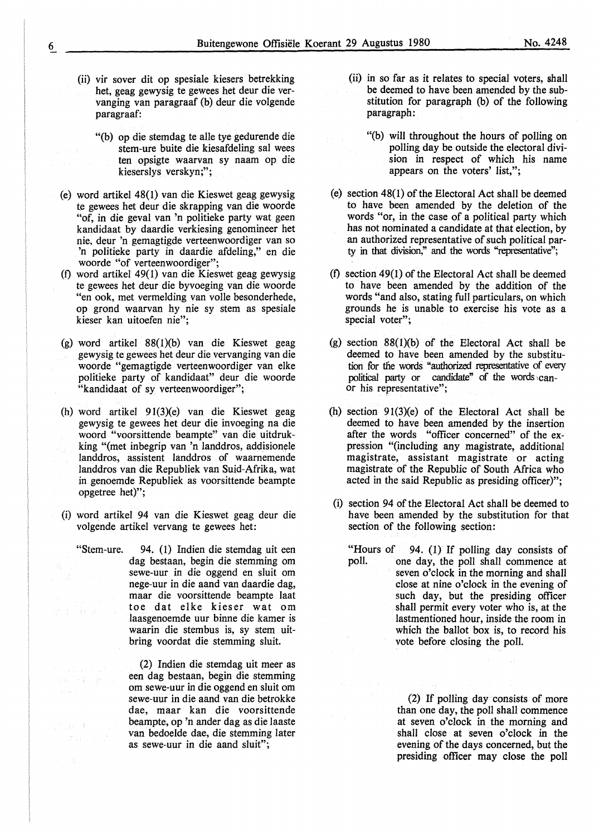- 
- 

- (ii) vir sover dit op spesiale kiesers betrekking het, geag gewysig te gewees het deur die vervanging van paragraaf (b) deur die volgende paragraaf:
	- "(b) op die stemdag te alle tye gedurende die stem-ure buite die kiesafdeling sal wees ten opsigte waarvan sy naam op die kieserslys verskyn;";
- (e) word artikel 48(1) van die Kieswet geag gewysig te gewees het deur die skrapping van die woorde "of, in die geval van 'n politieke party wat geen kandidaat by daardie verkiesing genomineer het nie, deur 'n gemagtigde verteenwoordiger van so 'n politieke party in daardie afdeling," en die woorde "of verteenwoordiger";
- (f) word artikel 49(1) van die Kieswet geag gewysig te gewees het deur die byvoeging van die woorde "en ook, met vermelding van voile besonderhede, op grond waarvan hy nie sy stem as spesiale kieser kan uitoefen nie";
- (g) word artikel 88{1)(b) van die Kieswet geag gewysig te gewees het deur die vervanging van die woorde "gemagtigde verteenwoordiger van elke politieke party of kandidaat" deur die woorde "kandidaat of sy verteenwoordiger";
- {h) word artikel 91(3)(e) van die Kieswet geag gewysig te gewees het deur die invoeging na die woord "voorsittende beampte" van die uitdrukking "(met inbegrip van 'n landdros, addisionele landdros, assistent landdros of waarnemende landdros van die Republiek van Suid-Afrika, wat in genoemde Republiek as voorsittende beampte opgetree het)";
- (i) word artikel 94 van die Kieswet geag deur die volgende artikel vervang te gewees het:

say at m

经收入  $\mathcal{L}^{\text{even}}_{\text{eff}}$  is the  $\beta$ 

tika.

"Stem-ure. 94. (1) Indien die stemdag uit een dag bestaan, begin die stemming om sewe-uur in die oggend en sluit om nege-uur in die aand van daardie dag, maar die voorsittende beampte laat toe dat elke kieser wat om an a Saint-Aire ann an laasgenoemde uur binne die kamer is waarin die stembus is, sy stem uitbring voordat die stemming sluit.

> (2) Indien die stemdag uit meer as een dag bestaan, begin die stemming om sewe-uur in die oggend en sluit om sewe-uur in die aand van die betrokke dae, maar kan die voorsittende beampte, op 'n ander dag as die laaste van bedoelde dae, die stemming later as sewe-uur in die aand sluit";

- (ii) in so far as it relates to special voters, shall be deemed to have been amended by the substitution for paragraph (b) of the following paragraph:
	- "(b) will throughout the hours of polling on polling day be outside the electoral division in respect of which his name appears on the voters' list,";
- (e) section 48(1) of the Electoral Act shall be deemed to have been amended by the deletion of the words "or, in the case of a political party which has not nominated a candidate at that election, by an authorized representative of such political party in that division," and the words "representative";
- (f) section 49(1) of the Electoral Act shall be deemed to have been amended by the addition of the words "and also, stating full particulars, on which grounds he is unable to exercise his vote as a special voter";
- (g) section 88(1)(b) of the Electoral Act shall be deemed to have been amended by the substitution for the words "authorized representative of every political party or candidate" of the words canor his representative";
- (h) section  $91(3)(e)$  of the Electoral Act shall be deemed to have been amended by the insertion after the words "officer concerned" of the expression "{including any magistrate, additional magistrate, assistant magistrate or acting magistrate of the Republic of South Africa who acted in the said Republic as presiding officer)";
- (i) section 94 of the Electoral Act shall be deemed to have been amended by the substitution for that section of the following section:
	- "Hours of 94. (1) If polling day consists of poll. The day, the poll shall commence at one day, the poll shall commence at seven o'clock in the morning and shall close at nine o'clock in the evening of such day, but the presiding officer shall permit every voter who is, at the lastmentioned hour, inside the room in which the ballot box is, to record his vote before closing the poll.

(2) If polling day consists of more than one day, the poll shall commence at seven o'clock in the morning and shall close at seven o'clock in the evening of the days concerned, but the presiding officer may close the poll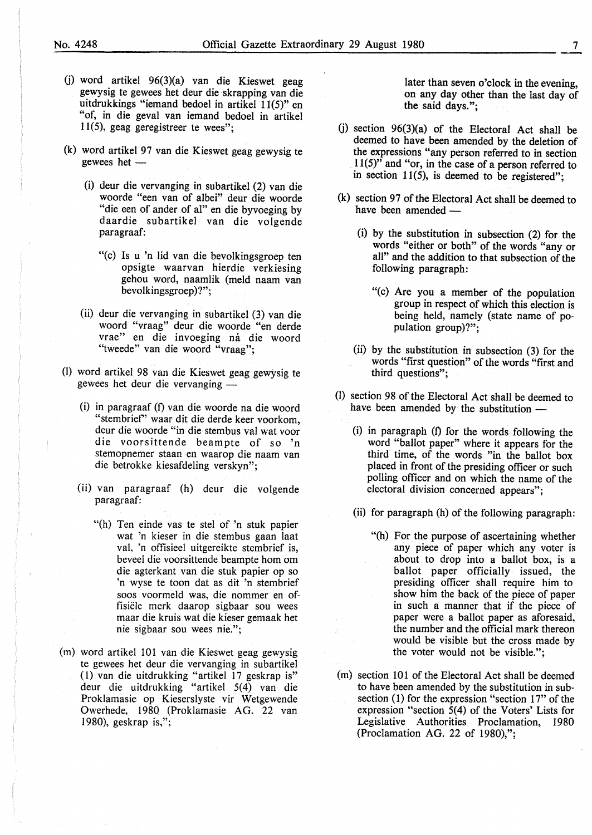- G) word artikel 96(3)(a) van die Kieswet geag gewysig te gewees het deur die skrapping van die uitdrukkings "iemand bedoel in artikel 11(5)" en "of, in die geval van iemand bedoel in artikel 11(5), geag geregistreer te wees";
- (k) word artikel 97 van die Kieswet geag gewysig te gewees het -
	- (i) deur die vervanging in subartikel (2) van die woorde "een van of albei" deur die woorde "die een of ander of al" en die byvoeging by daardie subartikel van die volgende paragraaf:
		- "(c) Is u 'n lid van die bevolkingsgroep ten opsigte waarvan hierdie verkiesing gehou word, naamlik (meld naam van bevolkingsgroep)?";
	- (ii) deur die vervanging in subartikel (3) van die woord "vraag" deur die woorde "en derde vrae" en die invoeging ná die woord "tweede" van die woord "vraag";
- (I) word artikel 98 van die Kieswet geag gewysig te gewees het deur die vervanging -
	- (i) in paragraaf (f) van die woorde na die woord "stembrief' waar dit die derde keer voorkom, deur die woorde "in die stembus val wat voor die voorsittende beampte of so 'n stemopnemer staan en waarop die naam van die betrokke kiesafdeling verskyn";
	- (ii) van paragraaf (h) deur die volgende paragraaf:
		- "(h) Ten einde vas te stel of 'n stuk papier wat 'n kieser in die stembus gaan laat val, 'n offisieel uitgereikte stembrief is, beveel die voorsittende beampte horn om die agterkant van die stuk papier op so 'n wyse te toon dat as dit 'n stembrief soos voormeld was, die nommer en offisiele merk daarop sigbaar sou wees maar die kruis wat die kieser gemaak het nie sigbaar sou wees nie.";
- (m) word artikel 101 van die Kieswet geag gewysig te gewees het deur die vervanging in subartikel ( l) van die uitdrukking "artikel 17 geskrap is" deur die uitdrukking "artikel 5(4) van die Proklamasie op Kieserslyste vir Wetgewende Owerhede, 1980 (Proklamasie AG. 22 van 1980), geskrap is,";

later than seven o'clock in the evening, on any day other than the last day of the said days.";

- (i) section  $96(3)(a)$  of the Electoral Act shall be deemed to have been amended by the deletion of the expressions "any person referred to in section  $11(5)$ <sup> $\overline{1}$ </sup> and "or, in the case of a person referred to in section  $11(5)$ , is deemed to be registered";
- (k) section 97 of the Electoral Act shall be deemed to have been amended -
	- (i) by the substitution in subsection (2) for the words "either or both" of the words "any or all" and the addition to that subsection of the following paragraph:
		- "(c) Are you a member of the population group in respect of which this election is being held, namely (state name of population group)?";
	- (ii) by the substitution in subsection (3) for the words "first question" of the words "first and third questions";
- (l) section 98 of the Electoral Act shall be deemed to have been amended by the substitution -
	- $(i)$  in paragraph  $(f)$  for the words following the word "ballot paper" where it appears for the third time, of the words "in the ballot box placed in front of the presiding officer or such polling officer and on which the name of the electoral division concerned appears";
	- (ii) for paragraph (h) of the following paragraph:
		- "(h) For the purpose of ascertaining whether any piece of paper which any voter is about to drop into a ballot box, is a ballot paper officially issued, the presiding officer shall require him to show him the back of the piece of paper in such a manner that if the piece of paper were a ballot paper as aforesaid, the number and the official mark thereon would be visible but the cross made by the voter would not be visible.";
- (m) section 101 of the Electoral Act shall be deemed to have been amended by the substitution in subsection (1) for the expression "section 17" of the expression "section 5(4) of the Voters' Lists for Legislative Authorities Proclamation, 1980 (Proclamation AG. 22 of 1980),";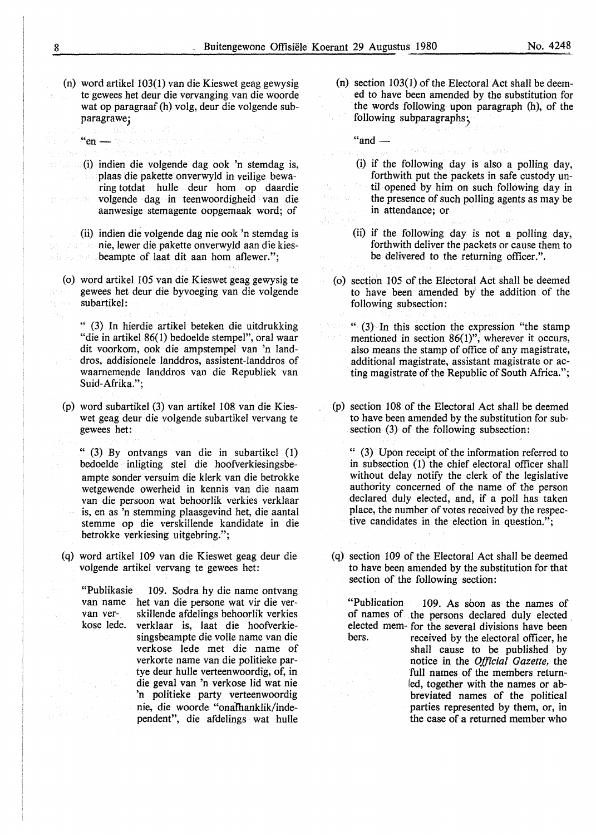(n) word artikel 103(1) van die Kieswet geag gewysig te gewees bet deur die vervanging van die woorde wat op paragraaf (h) volg, deur die volgende subparagrawe;

"en- ve bésident text d'este

(i) indien die volgende dag ook 'n stemdag is, plaas die pakette onverwyld in veilige bewaring totdat hulle deur horn op daardie volgende dag in teenwoordigheid van die of behoved aanwesige stemagente oopgemaak word; of

(ii) indien die volgende dag nie ook 'n stemdag is nie, lewer die pakette onverwyld aan die kiesbeampte of laat dit aan hom aflewer.";

(o) word artikel 105 van die Kieswet geag gewysig te gewees bet deur die byvoeging van die volgende subartikel:

" (3) In hierdie artikel beteken die uitdrukking "die in artikel 86(1) bedoelde stempel", oral waar dit voorkom, ook die ampstempel van 'n landdros, addisionele landdros, assistent-landdros of waarnemende landdros van die Republiek van Suid-Afrika.";

(p) word subartikel (3) van artikel 108 van die Kieswet geag deur die volgende subartikel vervang te gewees het:

" (3) By ontvangs van die in subartikel (1) bedoelde inligting stel die hoofverkiesingsbeampte sonder versuim die klerk van die betrokke wetgewende owerheid in kennis van die naam van die persoon wat behoorlik verkies verklaar is, en as 'n stemming plaasgevind bet, die aantal stemme op die verskillende kandidate in die betrokke verkiesing uitgebring.";

( q) word artikel 109 van die Kieswet geag deur die volgende artikel vervang te gewees het:

"Publikasie 109. Sodra by die name ontvang van name het van die persone wat vir die vervan ver- skillende afdelings behoorlik verkies<br>kose lede. verklaar is laat die hoofverkieverklaar is, laat die hoofverkiesingsbeampte die volle name van die verkose lede met die name of verkorte name van die politieke partye deur hulle verteenwoordig, of, in die geval van 'n verkose lid wat nie 'n politieke party verteenwoordig nie, die woorde "onaThanklik/independent", die afdelings wat hulle

(n) section 103(1) of the Electoral Act shall be deemed to have been amended by the substitution for the words following upon paragraph (h), of the following subparagraphs;

r of Vorilous 1970 kontr

- $"and$   $-$ 
	- (i) if the following day is also a polling day, forthwith put the packets in safe custody until opened by him on such following day in the presence of such polling agents as may be in attendance; or
	- (ii) if the following day is not a polling day, forthwith deliver the packets or cause them to be delivered to the returning officer.".
- ( o) section 105 of the Electoral Act shall be deemed to have been amended by the addition of the following subsection:

" (3) In this section the expression "the stamp mentioned in section 86(1)", wherever it occurs, also means the stamp of office of any magistrate, additional magistrate, assistant magistrate or acting magistrate of the Republic of South Africa.";

(p) section 108 of the Electoral Act shall be deemed to have been amended by the substitution for subsection (3) of the following subsection:

" (3) Upon receipt of the information referred to in subsection (1) the chief electoral officer shall without delay notify the clerk of the legislative authority concerned of the name of the person declared duly elected, and, if a poll has taken place, the number of votes received by the respective candidates in the election in question.";

(q) section 109 of the Electoral Act shall be deemed to have been amended by the substitution for that section of the following section:

"Publication 109. As soon as the names of of names of .the persons declared duly elected, elected mem- for the several divisions have been<br>bers. received by the electoral officer, he received by the electoral officer, he shall cause to be published by notice in the *Official Gazette,* the full names of the members returnled, together with the names or abbreviated names of the political parties represented by them, or, in the case of a returned member who

B.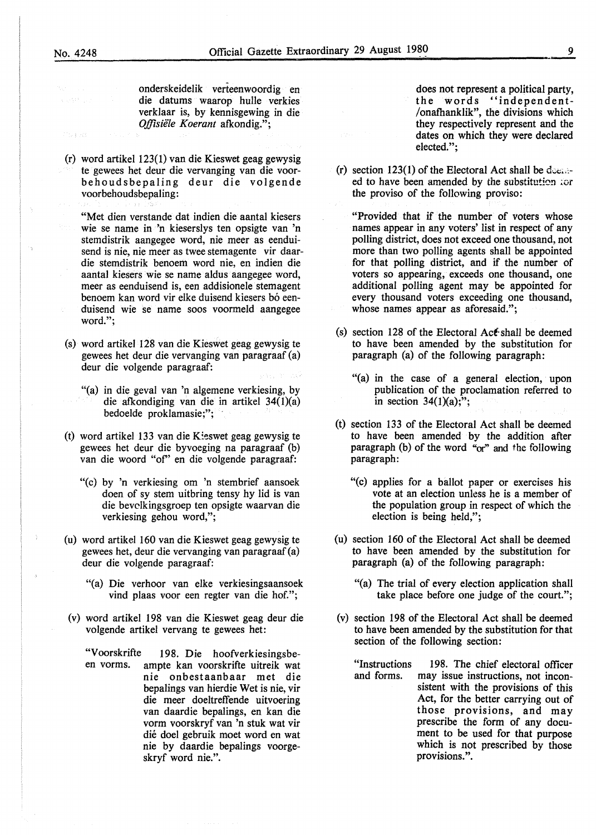musika

onderskeidelik verteenwoordig en die datums waarop hulle verkies verklaar is, by kennisgewing in die *Ojfisiele Koerant* afkondig.";

(r) word artikel 123(1) van die Kieswet geag gewysig te gewees het deur die vervanging van die voorbehoudsbepaling deur die volgende voorbehoudsbepaling:

"Met dien verstande dat indien die aantal kiesers wie se name in 'n kieserslys ten opsigte van 'n stemdistrik aangegee word, nie meer as eenduisend is nie, nie meer as twee stemagente vir daardie stemdistrik benoem word nie, en indien die aantal kiesers wie se name aldus aangegee word, meer as eenduisend is, een addisionele stemagent benoem kan word vir elke duisend kiesers bó eenduisend wie se name soos voormeld aangegee word.";

- (s) word artikel 128 van die Kieswet geag gewysig te gewees het deur die vervanging van paragraaf (a) deur die volgende paragraaf:
	- "(a) in die geval van 'n algemene verkiesing, by die afkondiging van die in artikel  $34(1)(a)$ bedoelde proklamasie;";
- (t) word artikel 133 van die Kieswet geag gewysig te gewees het deur die byvoeging na paragraaf (b) van die woord "of' en die volgende paragraaf:
	- "(c) by 'n verkiesing om 'n stembrief aansoek doen of sy stem uitbring tensy hy lid is van die bevclkingsgroep ten opsigte waarvan die verkiesing gehou word,";
- (u) word artikel 160 van die Kieswet geag gewysig te gewees het, deur die vervanging van paragraaf (a) deur die volgende paragraaf:
	- "(a) Die verhoor van elke verkiesingsaansoek vind plaas voor een regter van die hof.";
- (v) word artikel 198 van die Kieswet geag deur die volgende artikel vervang te gewees het:
	- "Voorskrifte 198. Die hoofverkiesingsbe-<br>en vorms. ampte kan voorskrifte uitreik wat ampte kan voorskrifte uitreik wat nie onbestaanbaar met die bepalings van hierdie Wet is nie, vir die meer doeltreffende uitvoering van daardie bepalings, en kan die vorm voorskryf van 'n stuk wat vir die doel gebruik moet word en wat nie by daardie bepalings voorgeskryf word nie.".

does not represent a political party, the words "independent- /onafhanklik", the divisions which they respectively represent and the dates on which they were declared elected.";

(r) section  $123(1)$  of the Electoral Act shall be decayed to have been amended by the substitution for the proviso of the following proviso:

"Provided that if the number of voters whose names appear in any voters' list in respect of any polling district, does not exceed one thousand, not more than two polling agents shall be appointed for that polling district, and if the number of voters so appearing, exceeds one thousand, one additional polling agent may be appointed for every thousand voters exceeding one thousand, whose names appear as aforesaid.";

- (s) section 128 of the Electoral Act-shall be deemed to have been amended by the substitution for paragraph (a) of the following paragraph:
	- "(a) in the case of a general election, upon publication of the proclamation referred to in section  $34(1)(a)$ ;";
- (t) section 133 of the Electoral Act shall be deemed to have been amended by the addition after paragraph (b) of the word " $or$ " and the following paragraph:
	- "(c) applies for a ballot paper or exercises his vote at an election unless he is a member of the population group in respect of which the election is being held,";
- (u) section 160 of the Electoral Act shall be deemed to have been amended by the substitution for paragraph (a) of the following paragraph:
	- "(a) The trial of every election application shall take place before one judge of the court.";
- (v) section 198 of the Electoral Act shall be deemed to have been amended by the substitution for that section of the following section:

"Instructions and forms. 198. The chief electoral officer may issue instructions, not inconsistent with the provisions of this Act, for the better carrying out of those provisions, and may prescribe the form of any document to be used for that purpose which is not prescribed by those provisions.".